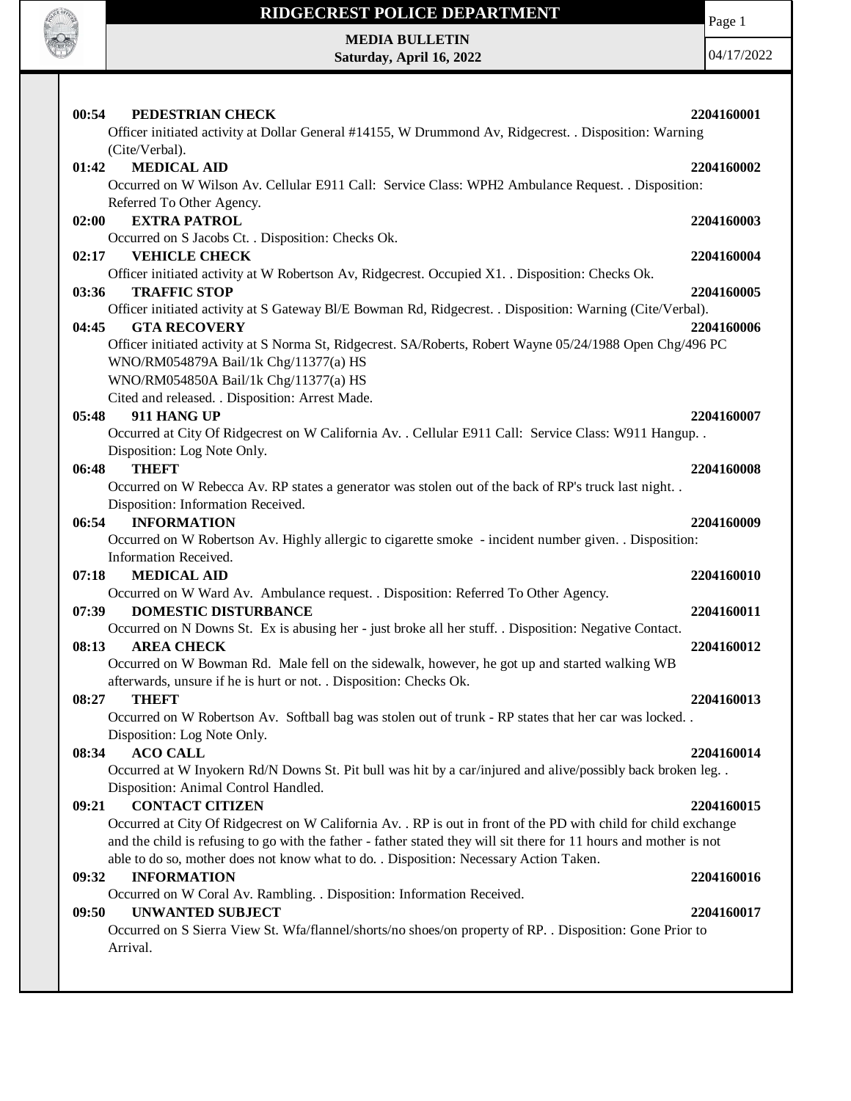

# **RIDGECREST POLICE DEPARTMENT MEDIA BULLETIN**

**Saturday, April 16, 2022**

Page 1

| PEDESTRIAN CHECK<br>00:54                                                                                          | 2204160001 |
|--------------------------------------------------------------------------------------------------------------------|------------|
| Officer initiated activity at Dollar General #14155, W Drummond Av, Ridgecrest. . Disposition: Warning             |            |
| (Cite/Verbal).                                                                                                     |            |
| 01:42<br><b>MEDICAL AID</b>                                                                                        | 2204160002 |
| Occurred on W Wilson Av. Cellular E911 Call: Service Class: WPH2 Ambulance Request. . Disposition:                 |            |
| Referred To Other Agency.                                                                                          |            |
| <b>EXTRA PATROL</b><br>02:00                                                                                       | 2204160003 |
| Occurred on S Jacobs Ct. . Disposition: Checks Ok.                                                                 |            |
| 02:17<br><b>VEHICLE CHECK</b>                                                                                      | 2204160004 |
| Officer initiated activity at W Robertson Av, Ridgecrest. Occupied X1. . Disposition: Checks Ok.                   |            |
| 03:36<br><b>TRAFFIC STOP</b>                                                                                       | 2204160005 |
| Officer initiated activity at S Gateway Bl/E Bowman Rd, Ridgecrest. . Disposition: Warning (Cite/Verbal).          |            |
| <b>GTA RECOVERY</b><br>04:45                                                                                       | 2204160006 |
| Officer initiated activity at S Norma St, Ridgecrest. SA/Roberts, Robert Wayne 05/24/1988 Open Chg/496 PC          |            |
| WNO/RM054879A Bail/1k Chg/11377(a) HS                                                                              |            |
| WNO/RM054850A Bail/1k Chg/11377(a) HS                                                                              |            |
| Cited and released. . Disposition: Arrest Made.                                                                    |            |
| 911 HANG UP<br>05:48                                                                                               | 2204160007 |
| Occurred at City Of Ridgecrest on W California Av. . Cellular E911 Call: Service Class: W911 Hangup. .             |            |
| Disposition: Log Note Only.                                                                                        |            |
| <b>THEFT</b><br>06:48                                                                                              | 2204160008 |
| Occurred on W Rebecca Av. RP states a generator was stolen out of the back of RP's truck last night. .             |            |
| Disposition: Information Received.                                                                                 |            |
| <b>INFORMATION</b><br>06:54                                                                                        | 2204160009 |
| Occurred on W Robertson Av. Highly allergic to cigarette smoke - incident number given. . Disposition:             |            |
| Information Received.                                                                                              |            |
| 07:18<br><b>MEDICAL AID</b>                                                                                        | 2204160010 |
| Occurred on W Ward Av. Ambulance request. . Disposition: Referred To Other Agency.                                 |            |
| <b>DOMESTIC DISTURBANCE</b><br>07:39                                                                               | 2204160011 |
| Occurred on N Downs St. Ex is abusing her - just broke all her stuff. . Disposition: Negative Contact.             |            |
| 08:13<br><b>AREA CHECK</b>                                                                                         | 2204160012 |
| Occurred on W Bowman Rd. Male fell on the sidewalk, however, he got up and started walking WB                      |            |
| afterwards, unsure if he is hurt or not. . Disposition: Checks Ok.                                                 |            |
| 08:27<br><b>THEFT</b>                                                                                              | 2204160013 |
| Occurred on W Robertson Av. Softball bag was stolen out of trunk - RP states that her car was locked.              |            |
| Disposition: Log Note Only.                                                                                        |            |
| <b>ACO CALL</b><br>08:34                                                                                           | 2204160014 |
| Occurred at W Inyokern Rd/N Downs St. Pit bull was hit by a car/injured and alive/possibly back broken leg. .      |            |
| Disposition: Animal Control Handled.                                                                               |            |
| <b>CONTACT CITIZEN</b><br>09:21                                                                                    | 2204160015 |
| Occurred at City Of Ridgecrest on W California Av. . RP is out in front of the PD with child for child exchange    |            |
| and the child is refusing to go with the father - father stated they will sit there for 11 hours and mother is not |            |
| able to do so, mother does not know what to do. . Disposition: Necessary Action Taken.                             |            |
| <b>INFORMATION</b><br>09:32                                                                                        | 2204160016 |
| Occurred on W Coral Av. Rambling. . Disposition: Information Received.                                             |            |
| <b>UNWANTED SUBJECT</b><br>09:50                                                                                   | 2204160017 |
| Occurred on S Sierra View St. Wfa/flannel/shorts/no shoes/on property of RP. . Disposition: Gone Prior to          |            |
| Arrival.                                                                                                           |            |
|                                                                                                                    |            |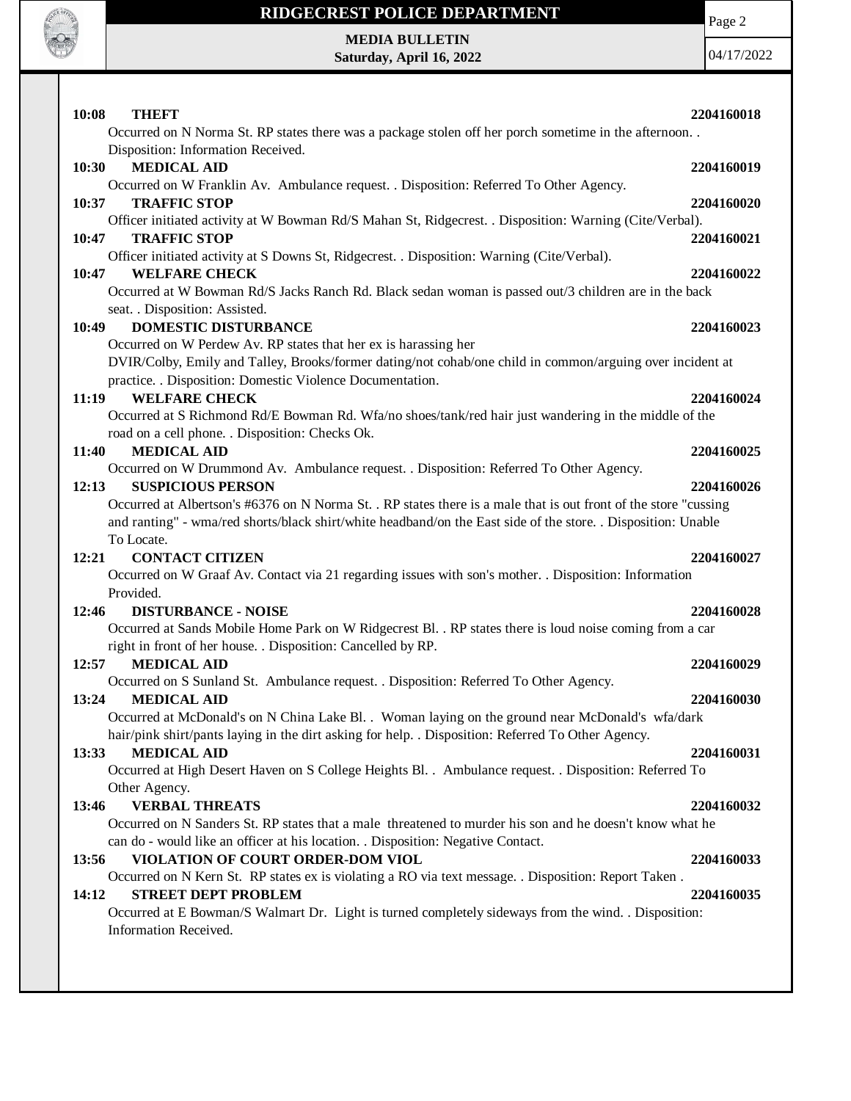

### **RIDGECREST POLICE DEPARTMENT**

Page 2

**MEDIA BULLETIN Saturday, April 16, 2022**

| 10:08<br><b>THEFT</b><br>Occurred on N Norma St. RP states there was a package stolen off her porch sometime in the afternoon | 2204160018 |
|-------------------------------------------------------------------------------------------------------------------------------|------------|
| Disposition: Information Received.                                                                                            |            |
| <b>MEDICAL AID</b><br>10:30                                                                                                   | 2204160019 |
| Occurred on W Franklin Av. Ambulance request. . Disposition: Referred To Other Agency.                                        |            |
| 10:37<br><b>TRAFFIC STOP</b>                                                                                                  | 2204160020 |
| Officer initiated activity at W Bowman Rd/S Mahan St, Ridgecrest. . Disposition: Warning (Cite/Verbal).                       |            |
| 10:47<br><b>TRAFFIC STOP</b>                                                                                                  | 2204160021 |
| Officer initiated activity at S Downs St, Ridgecrest. . Disposition: Warning (Cite/Verbal).                                   |            |
| 10:47<br><b>WELFARE CHECK</b>                                                                                                 | 2204160022 |
| Occurred at W Bowman Rd/S Jacks Ranch Rd. Black sedan woman is passed out/3 children are in the back                          |            |
| seat. . Disposition: Assisted.                                                                                                |            |
| 10:49<br><b>DOMESTIC DISTURBANCE</b>                                                                                          | 2204160023 |
| Occurred on W Perdew Av. RP states that her ex is harassing her                                                               |            |
| DVIR/Colby, Emily and Talley, Brooks/former dating/not cohab/one child in common/arguing over incident at                     |            |
| practice. . Disposition: Domestic Violence Documentation.                                                                     |            |
| <b>WELFARE CHECK</b><br>11:19                                                                                                 | 2204160024 |
| Occurred at S Richmond Rd/E Bowman Rd. Wfa/no shoes/tank/red hair just wandering in the middle of the                         |            |
| road on a cell phone. . Disposition: Checks Ok.                                                                               |            |
| <b>MEDICAL AID</b><br>11:40                                                                                                   | 2204160025 |
| Occurred on W Drummond Av. Ambulance request. . Disposition: Referred To Other Agency.                                        |            |
| 12:13<br><b>SUSPICIOUS PERSON</b>                                                                                             | 2204160026 |
| Occurred at Albertson's #6376 on N Norma St. . RP states there is a male that is out front of the store "cussing              |            |
| and ranting" - wma/red shorts/black shirt/white headband/on the East side of the store. . Disposition: Unable                 |            |
| To Locate.                                                                                                                    |            |
| 12:21<br><b>CONTACT CITIZEN</b>                                                                                               |            |
|                                                                                                                               | 2204160027 |
| Occurred on W Graaf Av. Contact via 21 regarding issues with son's mother. . Disposition: Information                         |            |
| Provided.                                                                                                                     |            |
| 12:46<br><b>DISTURBANCE - NOISE</b>                                                                                           | 2204160028 |
| Occurred at Sands Mobile Home Park on W Ridgecrest Bl. . RP states there is loud noise coming from a car                      |            |
| right in front of her house. . Disposition: Cancelled by RP.                                                                  |            |
| <b>MEDICAL AID</b><br>12:57                                                                                                   | 2204160029 |
| Occurred on S Sunland St. Ambulance request. . Disposition: Referred To Other Agency.                                         |            |
| 13:24<br><b>MEDICAL AID</b>                                                                                                   | 2204160030 |
| Occurred at McDonald's on N China Lake Bl. . Woman laying on the ground near McDonald's wfa/dark                              |            |
| hair/pink shirt/pants laying in the dirt asking for help. . Disposition: Referred To Other Agency.                            |            |
| <b>MEDICAL AID</b><br>13:33                                                                                                   | 2204160031 |
| Occurred at High Desert Haven on S College Heights Bl. . Ambulance request. . Disposition: Referred To                        |            |
| Other Agency.                                                                                                                 |            |
| <b>VERBAL THREATS</b><br>13:46                                                                                                | 2204160032 |
| Occurred on N Sanders St. RP states that a male threatened to murder his son and he doesn't know what he                      |            |
| can do - would like an officer at his location. . Disposition: Negative Contact.                                              |            |
| VIOLATION OF COURT ORDER-DOM VIOL<br>13:56                                                                                    | 2204160033 |
| Occurred on N Kern St. RP states ex is violating a RO via text message. . Disposition: Report Taken.                          |            |
| <b>STREET DEPT PROBLEM</b><br>14:12                                                                                           | 2204160035 |
| Occurred at E Bowman/S Walmart Dr. Light is turned completely sideways from the wind. . Disposition:                          |            |
| Information Received.                                                                                                         |            |
|                                                                                                                               |            |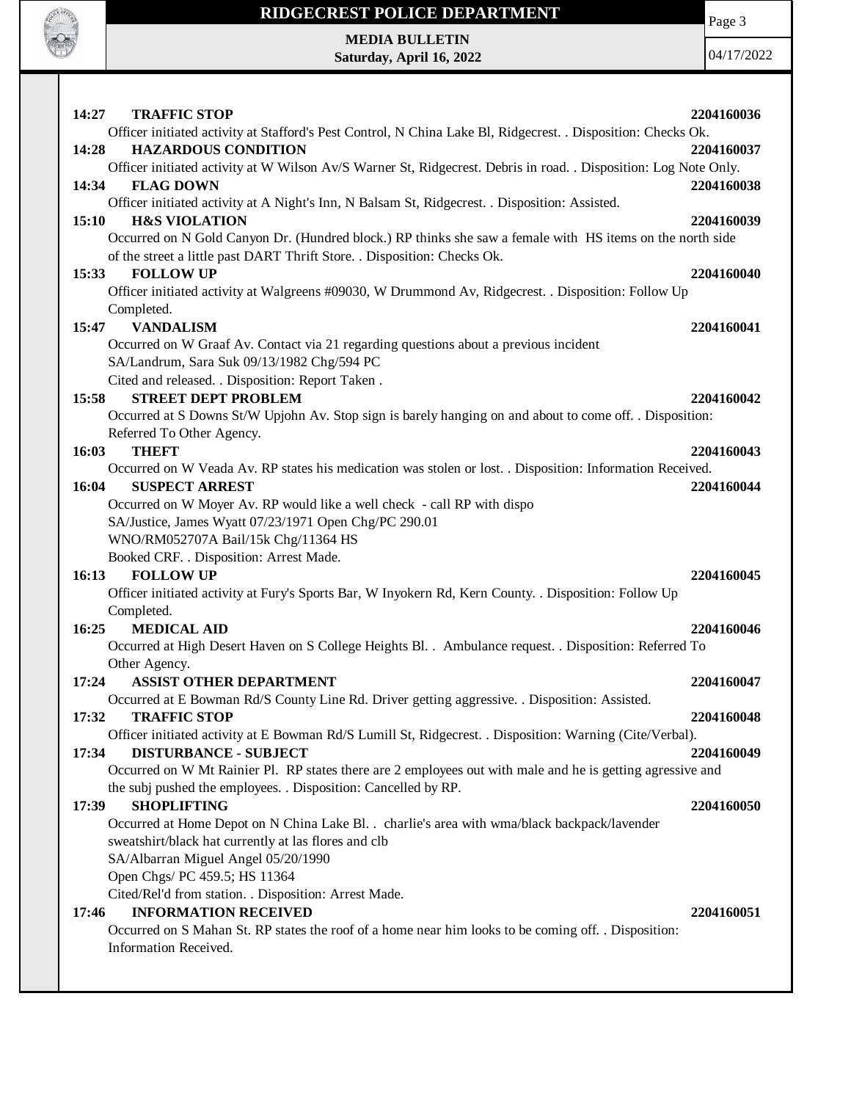

# **RIDGECREST POLICE DEPARTMENT MEDIA BULLETIN**

**Saturday, April 16, 2022**

Page 3

| 14:27<br><b>TRAFFIC STOP</b>                                                                                                       | 2204160036 |
|------------------------------------------------------------------------------------------------------------------------------------|------------|
| Officer initiated activity at Stafford's Pest Control, N China Lake Bl, Ridgecrest. . Disposition: Checks Ok.                      |            |
| <b>HAZARDOUS CONDITION</b><br>14:28                                                                                                | 2204160037 |
| Officer initiated activity at W Wilson Av/S Warner St, Ridgecrest. Debris in road. . Disposition: Log Note Only.                   |            |
| 14:34<br><b>FLAG DOWN</b>                                                                                                          | 2204160038 |
| Officer initiated activity at A Night's Inn, N Balsam St, Ridgecrest. . Disposition: Assisted.                                     |            |
| 15:10<br><b>H&amp;S VIOLATION</b>                                                                                                  | 2204160039 |
| Occurred on N Gold Canyon Dr. (Hundred block.) RP thinks she saw a female with HS items on the north side                          |            |
| of the street a little past DART Thrift Store. . Disposition: Checks Ok.                                                           |            |
| <b>FOLLOW UP</b><br>15:33                                                                                                          | 2204160040 |
| Officer initiated activity at Walgreens #09030, W Drummond Av, Ridgecrest. . Disposition: Follow Up                                |            |
| Completed.                                                                                                                         |            |
| 15:47<br><b>VANDALISM</b>                                                                                                          | 2204160041 |
| Occurred on W Graaf Av. Contact via 21 regarding questions about a previous incident                                               |            |
| SA/Landrum, Sara Suk 09/13/1982 Chg/594 PC                                                                                         |            |
| Cited and released. . Disposition: Report Taken.                                                                                   |            |
| <b>STREET DEPT PROBLEM</b><br>15:58                                                                                                | 2204160042 |
| Occurred at S Downs St/W Upjohn Av. Stop sign is barely hanging on and about to come off. . Disposition:                           |            |
| Referred To Other Agency.                                                                                                          |            |
| <b>THEFT</b><br>16:03                                                                                                              | 2204160043 |
| Occurred on W Veada Av. RP states his medication was stolen or lost. . Disposition: Information Received.<br><b>SUSPECT ARREST</b> |            |
| 16:04                                                                                                                              | 2204160044 |
| Occurred on W Moyer Av. RP would like a well check - call RP with dispo                                                            |            |
| SA/Justice, James Wyatt 07/23/1971 Open Chg/PC 290.01<br>WNO/RM052707A Bail/15k Chg/11364 HS                                       |            |
| Booked CRF. . Disposition: Arrest Made.                                                                                            |            |
| <b>FOLLOW UP</b><br>16:13                                                                                                          | 2204160045 |
| Officer initiated activity at Fury's Sports Bar, W Inyokern Rd, Kern County. . Disposition: Follow Up                              |            |
| Completed.                                                                                                                         |            |
| 16:25<br><b>MEDICAL AID</b>                                                                                                        | 2204160046 |
| Occurred at High Desert Haven on S College Heights Bl. . Ambulance request. . Disposition: Referred To                             |            |
| Other Agency.                                                                                                                      |            |
| <b>ASSIST OTHER DEPARTMENT</b><br>17:24                                                                                            | 2204160047 |
| Occurred at E Bowman Rd/S County Line Rd. Driver getting aggressive. . Disposition: Assisted.                                      |            |
| 17:32<br><b>TRAFFIC STOP</b>                                                                                                       | 2204160048 |
| Officer initiated activity at E Bowman Rd/S Lumill St, Ridgecrest. . Disposition: Warning (Cite/Verbal).                           |            |
| 17:34<br><b>DISTURBANCE - SUBJECT</b>                                                                                              | 2204160049 |
| Occurred on W Mt Rainier Pl. RP states there are 2 employees out with male and he is getting agressive and                         |            |
| the subj pushed the employees. . Disposition: Cancelled by RP.                                                                     |            |
| 17:39<br><b>SHOPLIFTING</b>                                                                                                        | 2204160050 |
| Occurred at Home Depot on N China Lake Bl. . charlie's area with wma/black backpack/lavender                                       |            |
| sweatshirt/black hat currently at las flores and clb                                                                               |            |
| SA/Albarran Miguel Angel 05/20/1990                                                                                                |            |
| Open Chgs/ PC 459.5; HS 11364                                                                                                      |            |
| Cited/Rel'd from station. . Disposition: Arrest Made.                                                                              |            |
| <b>INFORMATION RECEIVED</b><br>17:46                                                                                               | 2204160051 |
| Occurred on S Mahan St. RP states the roof of a home near him looks to be coming off. . Disposition:                               |            |
| Information Received.                                                                                                              |            |
|                                                                                                                                    |            |
|                                                                                                                                    |            |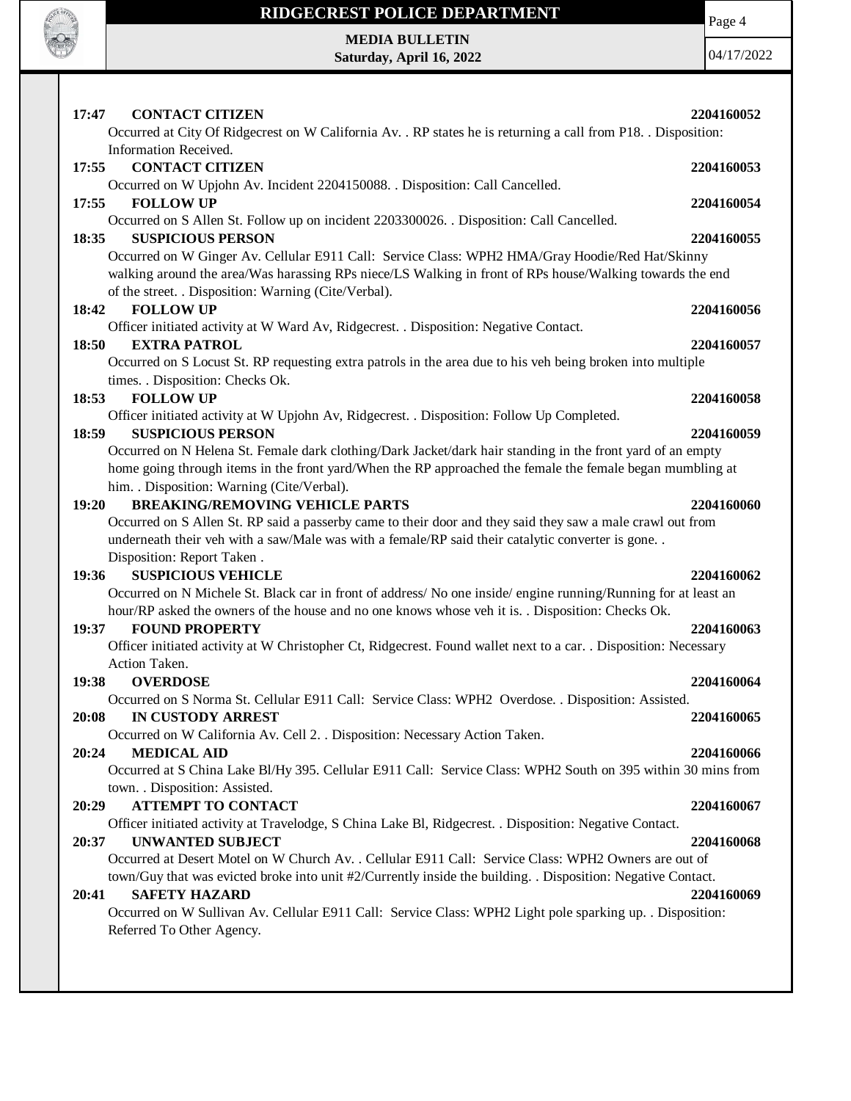

#### **RIDGECREST POLICE DEPARTMENT**

Page 4

**MEDIA BULLETIN Saturday, April 16, 2022**

| 17:47<br><b>CONTACT CITIZEN</b><br>Occurred at City Of Ridgecrest on W California Av. . RP states he is returning a call from P18. . Disposition:<br>Information Received.                                                                                          | 2204160052 |
|---------------------------------------------------------------------------------------------------------------------------------------------------------------------------------------------------------------------------------------------------------------------|------------|
| <b>CONTACT CITIZEN</b><br>17:55                                                                                                                                                                                                                                     | 2204160053 |
| Occurred on W Upjohn Av. Incident 2204150088. . Disposition: Call Cancelled.<br><b>FOLLOW UP</b><br>17:55                                                                                                                                                           | 2204160054 |
| Occurred on S Allen St. Follow up on incident 2203300026. Disposition: Call Cancelled.                                                                                                                                                                              |            |
| <b>SUSPICIOUS PERSON</b><br>18:35                                                                                                                                                                                                                                   | 2204160055 |
| Occurred on W Ginger Av. Cellular E911 Call: Service Class: WPH2 HMA/Gray Hoodie/Red Hat/Skinny<br>walking around the area/Was harassing RPs niece/LS Walking in front of RPs house/Walking towards the end<br>of the street. . Disposition: Warning (Cite/Verbal). |            |
| 18:42<br><b>FOLLOW UP</b>                                                                                                                                                                                                                                           | 2204160056 |
| Officer initiated activity at W Ward Av, Ridgecrest. . Disposition: Negative Contact.                                                                                                                                                                               |            |
| <b>EXTRA PATROL</b><br>18:50                                                                                                                                                                                                                                        | 2204160057 |
| Occurred on S Locust St. RP requesting extra patrols in the area due to his veh being broken into multiple<br>times. . Disposition: Checks Ok.                                                                                                                      |            |
| <b>FOLLOW UP</b><br>18:53                                                                                                                                                                                                                                           | 2204160058 |
| Officer initiated activity at W Upjohn Av, Ridgecrest. . Disposition: Follow Up Completed.                                                                                                                                                                          |            |
| <b>SUSPICIOUS PERSON</b><br>18:59                                                                                                                                                                                                                                   | 2204160059 |
| Occurred on N Helena St. Female dark clothing/Dark Jacket/dark hair standing in the front yard of an empty<br>home going through items in the front yard/When the RP approached the female the female began mumbling at                                             |            |
| him. . Disposition: Warning (Cite/Verbal).<br><b>BREAKING/REMOVING VEHICLE PARTS</b><br>19:20                                                                                                                                                                       | 2204160060 |
| Occurred on S Allen St. RP said a passerby came to their door and they said they saw a male crawl out from                                                                                                                                                          |            |
| underneath their veh with a saw/Male was with a female/RP said their catalytic converter is gone. .<br>Disposition: Report Taken.                                                                                                                                   |            |
| <b>SUSPICIOUS VEHICLE</b><br>19:36                                                                                                                                                                                                                                  | 2204160062 |
| Occurred on N Michele St. Black car in front of address/ No one inside/ engine running/Running for at least an                                                                                                                                                      |            |
| hour/RP asked the owners of the house and no one knows whose veh it is. . Disposition: Checks Ok.                                                                                                                                                                   |            |
| <b>FOUND PROPERTY</b><br>19:37                                                                                                                                                                                                                                      | 2204160063 |
| Officer initiated activity at W Christopher Ct, Ridgecrest. Found wallet next to a car. . Disposition: Necessary                                                                                                                                                    |            |
| Action Taken.                                                                                                                                                                                                                                                       |            |
| 19:38<br><b>OVERDOSE</b>                                                                                                                                                                                                                                            | 2204160064 |
| Occurred on S Norma St. Cellular E911 Call: Service Class: WPH2 Overdose. . Disposition: Assisted.                                                                                                                                                                  |            |
| 20:08<br><b>IN CUSTODY ARREST</b>                                                                                                                                                                                                                                   | 2204160065 |
| Occurred on W California Av. Cell 2. . Disposition: Necessary Action Taken.                                                                                                                                                                                         |            |
| 20:24<br><b>MEDICAL AID</b>                                                                                                                                                                                                                                         | 2204160066 |
| Occurred at S China Lake Bl/Hy 395. Cellular E911 Call: Service Class: WPH2 South on 395 within 30 mins from                                                                                                                                                        |            |
| town. . Disposition: Assisted.<br><b>ATTEMPT TO CONTACT</b><br>20:29                                                                                                                                                                                                | 2204160067 |
| Officer initiated activity at Travelodge, S China Lake Bl, Ridgecrest. . Disposition: Negative Contact.                                                                                                                                                             |            |
| <b>UNWANTED SUBJECT</b><br>20:37                                                                                                                                                                                                                                    | 2204160068 |
| Occurred at Desert Motel on W Church Av. . Cellular E911 Call: Service Class: WPH2 Owners are out of                                                                                                                                                                |            |
| town/Guy that was evicted broke into unit #2/Currently inside the building. . Disposition: Negative Contact.                                                                                                                                                        |            |
| <b>SAFETY HAZARD</b><br>20:41                                                                                                                                                                                                                                       | 2204160069 |
| Occurred on W Sullivan Av. Cellular E911 Call: Service Class: WPH2 Light pole sparking up. . Disposition:                                                                                                                                                           |            |
| Referred To Other Agency.                                                                                                                                                                                                                                           |            |
|                                                                                                                                                                                                                                                                     |            |
|                                                                                                                                                                                                                                                                     |            |
|                                                                                                                                                                                                                                                                     |            |